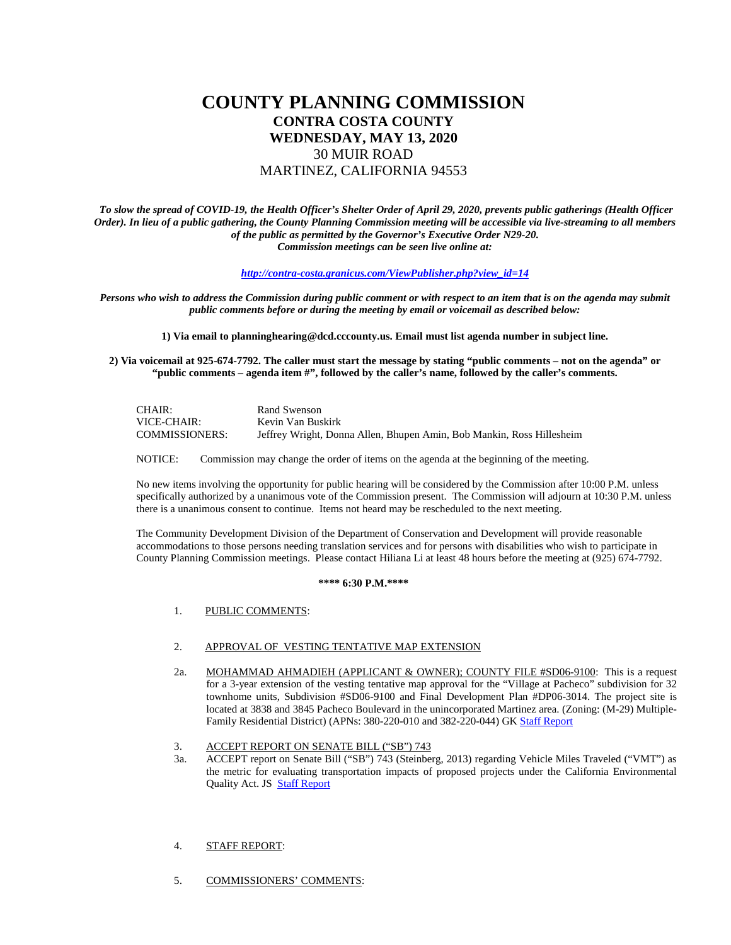# **COUNTY PLANNING COMMISSION CONTRA COSTA COUNTY WEDNESDAY, MAY 13, 2020** 30 MUIR ROAD MARTINEZ, CALIFORNIA 94553

*To slow the spread of COVID-19, the Health Officer's Shelter Order of April 29, 2020, prevents public gatherings (Health Officer Order). In lieu of a public gathering, the County Planning Commission meeting will be accessible via live-streaming to all members of the public as permitted by the Governor's Executive Order N29-20. Commission meetings can be seen live online at:* 

#### *[http://contra-costa.granicus.com/ViewPublisher.php?view\\_id=14](https://gcc01.safelinks.protection.outlook.com/?url=https%3A%2F%2Fcontra-costa.granicus.com%2FViewPublisher.php%3Fview_id%3D14&data=02%7C01%7CDanielle.Kelly%40dcd.cccounty.us%7C66e81ba6e41a42ab71aa08d7f122362f%7C76c13a07612f4e06a2f4783d69dc4cdb%7C0%7C0%7C637243001549056843&sdata=MDhUNd71oGYcUWjlrXiOj8Ma6%2BGb4NMBFkjQwkD8K40%3D&reserved=0)*

*Persons who wish to address the Commission during public comment or with respect to an item that is on the agenda may submit public comments before or during the meeting by email or voicemail as described below:* 

**1) Via email to planninghearing@dcd.cccounty.us. Email must list agenda number in subject line.** 

**2) Via voicemail at 925-674-7792. The caller must start the message by stating "public comments – not on the agenda" or "public comments – agenda item #", followed by the caller's name, followed by the caller's comments.**

| CHAIR:                | Rand Swenson                                                          |
|-----------------------|-----------------------------------------------------------------------|
| VICE-CHAIR:           | Kevin Van Buskirk                                                     |
| <b>COMMISSIONERS:</b> | Jeffrey Wright, Donna Allen, Bhupen Amin, Bob Mankin, Ross Hillesheim |

NOTICE: Commission may change the order of items on the agenda at the beginning of the meeting.

No new items involving the opportunity for public hearing will be considered by the Commission after 10:00 P.M. unless specifically authorized by a unanimous vote of the Commission present. The Commission will adjourn at 10:30 P.M. unless there is a unanimous consent to continue. Items not heard may be rescheduled to the next meeting.

The Community Development Division of the Department of Conservation and Development will provide reasonable accommodations to those persons needing translation services and for persons with disabilities who wish to participate in County Planning Commission meetings. Please contact Hiliana Li at least 48 hours before the meeting at (925) 674-7792.

#### **\*\*\*\* 6:30 P.M.\*\*\*\***

1. PUBLIC COMMENTS:

### 2. APPROVAL OF VESTING TENTATIVE MAP EXTENSION

- 2a. MOHAMMAD AHMADIEH (APPLICANT & OWNER); COUNTY FILE #SD06-9100: This is a request for a 3-year extension of the vesting tentative map approval for the "Village at Pacheco" subdivision for 32 townhome units, Subdivision #SD06-9100 and Final Development Plan #DP06-3014. The project site is located at 3838 and 3845 Pacheco Boulevard in the unincorporated Martinez area. (Zoning: (M-29) Multiple-Family Residential District) (APNs: 380-220-010 and 382-220-044) GK [Staff Report](https://www.contracosta.ca.gov/DocumentCenter/View/66888/SD06-9100_SR_CPC_5-13-20-extension)
- 3. ACCEPT REPORT ON SENATE BILL ("SB") 743
- 3a. ACCEPT report on Senate Bill ("SB") 743 (Steinberg, 2013) regarding Vehicle Miles Traveled ("VMT") as the metric for evaluating transportation impacts of proposed projects under the California Environmental Quality Act. JS [Staff Report](https://www.contracosta.ca.gov/DocumentCenter/View/66894/FINAL-SB743_SR_CPC_5-13-20-v2)

#### 4. STAFF REPORT:

5. COMMISSIONERS' COMMENTS: